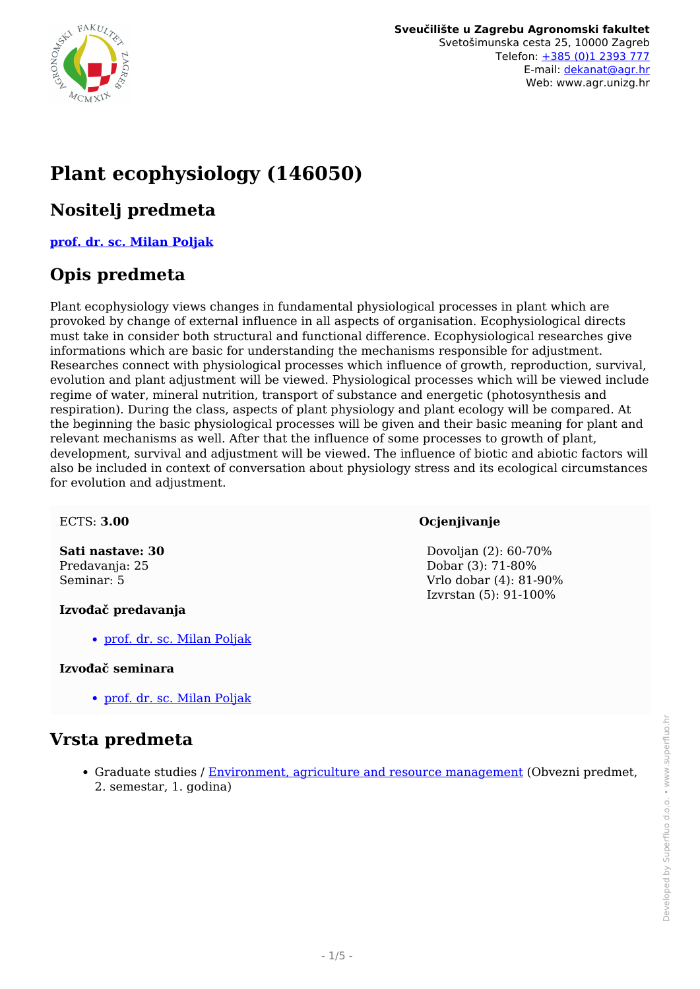

# **Plant ecophysiology (146050)**

### **Nositelj predmeta**

#### **[prof. dr. sc. Milan Poljak](/hr/member/42)**

### **Opis predmeta**

Plant ecophysiology views changes in fundamental physiological processes in plant which are provoked by change of external influence in all aspects of organisation. Ecophysiological directs must take in consider both structural and functional difference. Ecophysiological researches give informations which are basic for understanding the mechanisms responsible for adjustment. Researches connect with physiological processes which influence of growth, reproduction, survival, evolution and plant adjustment will be viewed. Physiological processes which will be viewed include regime of water, mineral nutrition, transport of substance and energetic (photosynthesis and respiration). During the class, aspects of plant physiology and plant ecology will be compared. At the beginning the basic physiological processes will be given and their basic meaning for plant and relevant mechanisms as well. After that the influence of some processes to growth of plant, development, survival and adjustment will be viewed. The influence of biotic and abiotic factors will also be included in context of conversation about physiology stress and its ecological circumstances for evolution and adjustment.

#### ECTS: **3.00**

**Sati nastave: 30** Predavanja: 25 Seminar: 5

#### **Izvođač predavanja**

[prof. dr. sc. Milan Poljak](/hr/member/42)

#### **Izvođač seminara**

[prof. dr. sc. Milan Poljak](/hr/member/42)

#### **Vrsta predmeta**

Graduate studies / [Environment, agriculture and resource management](/hr/study/en/3/Environment%2C+agriculture+and+resource+management) (Obvezni predmet, 2. semestar, 1. godina)

#### **Ocjenjivanje**

 Dovoljan (2): 60-70% Dobar (3): 71-80% Vrlo dobar (4): 81-90% Izvrstan (5): 91-100%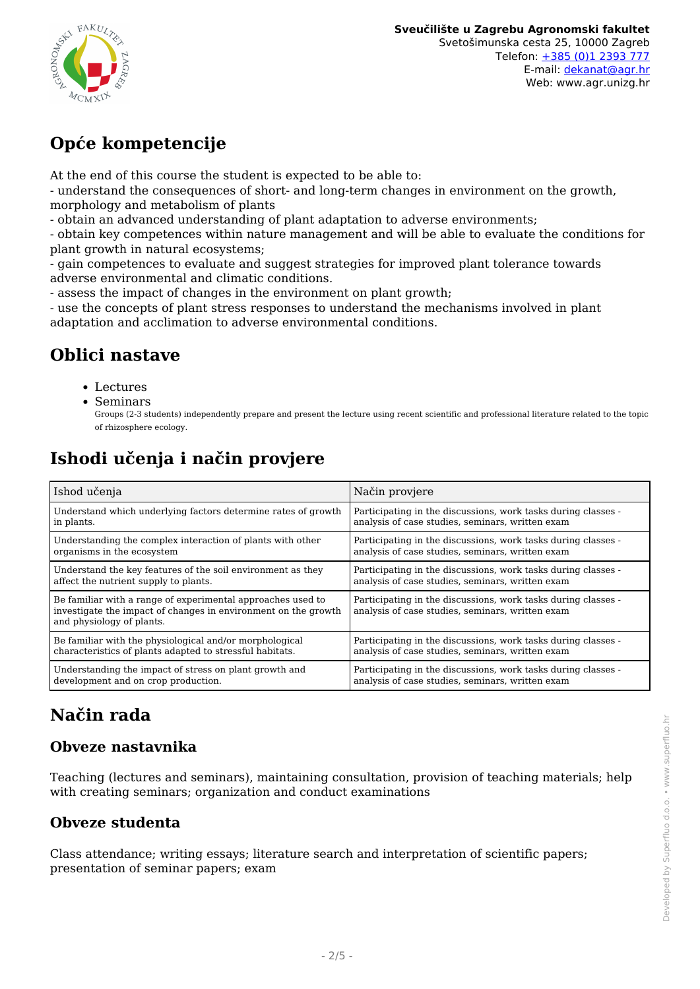

# **Opće kompetencije**

At the end of this course the student is expected to be able to:

- understand the consequences of short- and long-term changes in environment on the growth, morphology and metabolism of plants

- obtain an advanced understanding of plant adaptation to adverse environments;

- obtain key competences within nature management and will be able to evaluate the conditions for plant growth in natural ecosystems;

- gain competences to evaluate and suggest strategies for improved plant tolerance towards adverse environmental and climatic conditions.

- assess the impact of changes in the environment on plant growth;

- use the concepts of plant stress responses to understand the mechanisms involved in plant adaptation and acclimation to adverse environmental conditions.

### **Oblici nastave**

- Lectures
- Seminars

# **Ishodi učenja i način provjere**

| Ishod učenja                                                                                                                                               | Način provjere                                                                                                    |  |  |
|------------------------------------------------------------------------------------------------------------------------------------------------------------|-------------------------------------------------------------------------------------------------------------------|--|--|
| Understand which underlying factors determine rates of growth                                                                                              | Participating in the discussions, work tasks during classes -                                                     |  |  |
| in plants.                                                                                                                                                 | analysis of case studies, seminars, written exam                                                                  |  |  |
| Understanding the complex interaction of plants with other                                                                                                 | Participating in the discussions, work tasks during classes -                                                     |  |  |
| organisms in the ecosystem                                                                                                                                 | analysis of case studies, seminars, written exam                                                                  |  |  |
| Understand the key features of the soil environment as they                                                                                                | Participating in the discussions, work tasks during classes -                                                     |  |  |
| affect the nutrient supply to plants.                                                                                                                      | analysis of case studies, seminars, written exam                                                                  |  |  |
| Be familiar with a range of experimental approaches used to<br>investigate the impact of changes in environment on the growth<br>and physiology of plants. | Participating in the discussions, work tasks during classes -<br>analysis of case studies, seminars, written exam |  |  |
| Be familiar with the physiological and/or morphological                                                                                                    | Participating in the discussions, work tasks during classes -                                                     |  |  |
| characteristics of plants adapted to stressful habitats.                                                                                                   | analysis of case studies, seminars, written exam                                                                  |  |  |
| Understanding the impact of stress on plant growth and                                                                                                     | Participating in the discussions, work tasks during classes -                                                     |  |  |
| development and on crop production.                                                                                                                        | analysis of case studies, seminars, written exam                                                                  |  |  |

## **Način rada**

#### **Obveze nastavnika**

Teaching (lectures and seminars), maintaining consultation, provision of teaching materials; help with creating seminars; organization and conduct examinations

#### **Obveze studenta**

Class attendance; writing essays; literature search and interpretation of scientific papers; presentation of seminar papers; exam

Groups (2-3 students) independently prepare and present the lecture using recent scientific and professional literature related to the topic of rhizosphere ecology.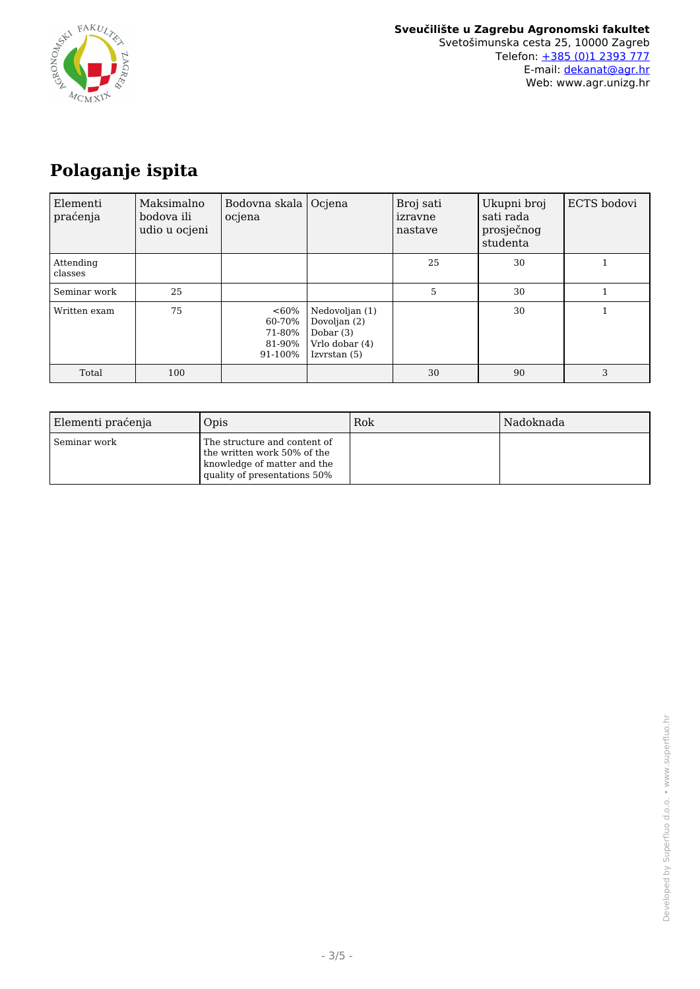

# **Polaganje ispita**

| Elementi<br>praćenja | Maksimalno<br>bodova ili<br>udio u ocjeni | Bodovna skala  <br>ocjena                        | Ocjena                                                                          | Broj sati<br>izravne<br>nastave | Ukupni broj<br>sati rada<br>prosječnog<br>studenta | ECTS bodovi |
|----------------------|-------------------------------------------|--------------------------------------------------|---------------------------------------------------------------------------------|---------------------------------|----------------------------------------------------|-------------|
| Attending<br>classes |                                           |                                                  |                                                                                 | 25                              | 30                                                 |             |
| Seminar work         | 25                                        |                                                  |                                                                                 | 5                               | 30                                                 |             |
| Written exam         | 75                                        | $<60\%$<br>60-70%<br>71-80%<br>81-90%<br>91-100% | Nedovoljan (1)<br>Dovoljan (2)<br>Dobar $(3)$<br>Vrlo dobar (4)<br>Izvrstan (5) |                                 | 30                                                 |             |
| Total                | 100                                       |                                                  |                                                                                 | 30                              | 90                                                 | 3           |

| Elementi praćenja | Opis                                                                                                                       | Rok | Nadoknada |
|-------------------|----------------------------------------------------------------------------------------------------------------------------|-----|-----------|
| Seminar work      | The structure and content of<br>the written work 50% of the<br>knowledge of matter and the<br>quality of presentations 50% |     |           |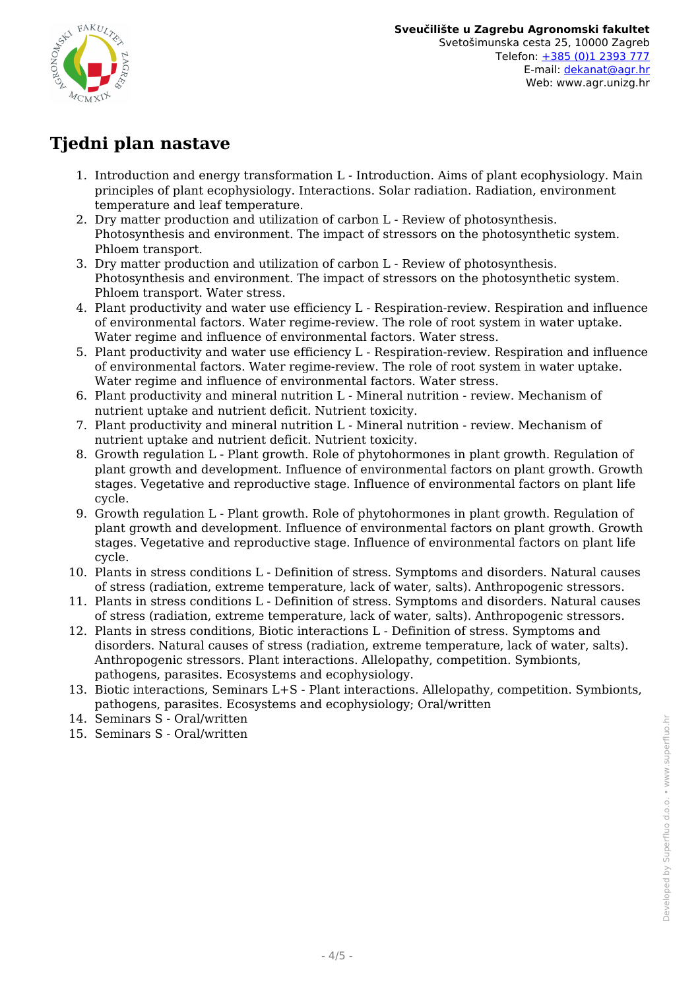

## **Tjedni plan nastave**

- 1. Introduction and energy transformation L Introduction. Aims of plant ecophysiology. Main principles of plant ecophysiology. Interactions. Solar radiation. Radiation, environment temperature and leaf temperature.
- 2. Dry matter production and utilization of carbon L Review of photosynthesis. Photosynthesis and environment. The impact of stressors on the photosynthetic system. Phloem transport.
- 3. Dry matter production and utilization of carbon L Review of photosynthesis. Photosynthesis and environment. The impact of stressors on the photosynthetic system. Phloem transport. Water stress.
- 4. Plant productivity and water use efficiency L Respiration-review. Respiration and influence of environmental factors. Water regime-review. The role of root system in water uptake. Water regime and influence of environmental factors. Water stress.
- 5. Plant productivity and water use efficiency L Respiration-review. Respiration and influence of environmental factors. Water regime-review. The role of root system in water uptake. Water regime and influence of environmental factors. Water stress.
- 6. Plant productivity and mineral nutrition L Mineral nutrition review. Mechanism of nutrient uptake and nutrient deficit. Nutrient toxicity.
- 7. Plant productivity and mineral nutrition L Mineral nutrition review. Mechanism of nutrient uptake and nutrient deficit. Nutrient toxicity.
- 8. Growth regulation L Plant growth. Role of phytohormones in plant growth. Regulation of plant growth and development. Influence of environmental factors on plant growth. Growth stages. Vegetative and reproductive stage. Influence of environmental factors on plant life cycle.
- 9. Growth regulation L Plant growth. Role of phytohormones in plant growth. Regulation of plant growth and development. Influence of environmental factors on plant growth. Growth stages. Vegetative and reproductive stage. Influence of environmental factors on plant life cycle.
- 10. Plants in stress conditions L Definition of stress. Symptoms and disorders. Natural causes of stress (radiation, extreme temperature, lack of water, salts). Anthropogenic stressors.
- 11. Plants in stress conditions L Definition of stress. Symptoms and disorders. Natural causes of stress (radiation, extreme temperature, lack of water, salts). Anthropogenic stressors.
- 12. Plants in stress conditions, Biotic interactions L Definition of stress. Symptoms and disorders. Natural causes of stress (radiation, extreme temperature, lack of water, salts). Anthropogenic stressors. Plant interactions. Allelopathy, competition. Symbionts, pathogens, parasites. Ecosystems and ecophysiology.
- 13. Biotic interactions, Seminars L+S Plant interactions. Allelopathy, competition. Symbionts, pathogens, parasites. Ecosystems and ecophysiology; Oral/written
- 14. Seminars S Oral/written
- 15. Seminars S Oral/written